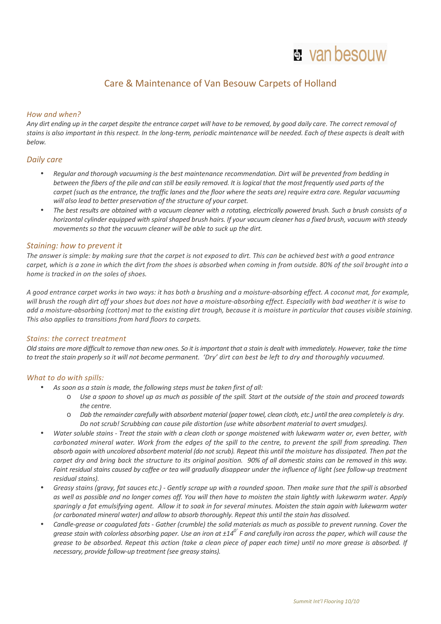# **H** van besouw

## Care & Maintenance of Van Besouw Carpets of Holland

#### *How and when?*

*Any dirt ending up in the carpet despite the entrance carpet will have to be removed, by good daily care. The correct removal of stains is also important in this respect. In the long-term, periodic maintenance will be needed. Each of these aspects is dealt with below.* 

### *Daily care*

- *Regular and thorough vacuuming is the best maintenance recommendation. Dirt will be prevented from bedding in between the fibers of the pile and can still be easily removed. It is logical that the most frequently used parts of the carpet (such as the entrance, the traffic lanes and the floor where the seats are) require extra care. Regular vacuuming will also lead to better preservation of the structure of your carpet.*
- *The best results are obtained with a vacuum cleaner with a rotating, electrically powered brush. Such a brush consists of a horizontal cylinder equipped with spiral shaped brush hairs. If your vacuum cleaner has a fixed brush, vacuum with steady movements so that the vacuum cleaner will be able to suck up the dirt.*

### *Staining: how to prevent it*

*The answer is simple: by making sure that the carpet is not exposed to dirt. This can be achieved best with a good entrance carpet, which is a zone in which the dirt from the shoes is absorbed when coming in from outside. 80% of the soil brought into a home is tracked in on the soles of shoes.* 

*A good entrance carpet works in two ways: it has both a brushing and a moisture-absorbing effect. A coconut mat, for example, will brush the rough dirt off your shoes but does not have a moisture-absorbing effect. Especially with bad weather it is wise to add a moisture-absorbing (cotton) mat to the existing dirt trough, because it is moisture in particular that causes visible staining. This also applies to transitions from hard floors to carpets.* 

#### *Stains: the correct treatment*

*Old stains are more difficult to remove than new ones. So it is important that a stain is dealt with immediately. However, take the time to treat the stain properly so it will not become permanent. 'Dry' dirt can best be left to dry and thoroughly vacuumed.* 

#### *What to do with spills:*

- *As soon as a stain is made, the following steps must be taken first of all:* 
	- o *Use a spoon to shovel up as much as possible of the spill. Start at the outside of the stain and proceed towards the centre.*
	- o *Dab the remainder carefully with absorbent material (paper towel, clean cloth, etc.) until the area completely is dry. Do not scrub! Scrubbing can cause pile distortion (use white absorbent material to avert smudges).*
- *Water soluble stains Treat the stain with a clean cloth or sponge moistened with lukewarm water or, even better, with carbonated mineral water. Work from the edges of the spill to the centre, to prevent the spill from spreading. Then absorb again with uncolored absorbent material (do not scrub). Repeat this until the moisture has dissipated. Then pat the carpet dry and bring back the structure to its original position. 90% of all domestic stains can be removed in this way. Faint residual stains caused by coffee or tea will gradually disappear under the influence of light (see follow-up treatment residual stains).*
- *Greasy stains (gravy, fat sauces etc.) Gently scrape up with a rounded spoon. Then make sure that the spill is absorbed as well as possible and no longer comes off. You will then have to moisten the stain lightly with lukewarm water. Apply sparingly a fat emulsifying agent. Allow it to soak in for several minutes. Moisten the stain again with lukewarm water (or carbonated mineral water) and allow to absorb thoroughly. Repeat this until the stain has dissolved.*
- *Candle-grease or coagulated fats Gather (crumble) the solid materials as much as possible to prevent running. Cover the grease stain with colorless absorbing paper. Use an iron at ±140˚ F and carefully iron across the paper, which will cause the grease to be absorbed. Repeat this action (take a clean piece of paper each time) until no more grease is absorbed. If necessary, provide follow-up treatment (see greasy stains).*